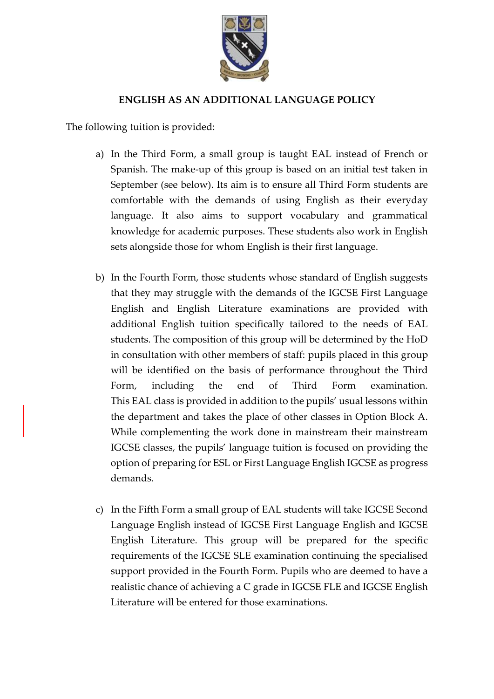

## **ENGLISH AS AN ADDITIONAL LANGUAGE POLICY**

The following tuition is provided:

- a) In the Third Form, a small group is taught EAL instead of French or Spanish. The make-up of this group is based on an initial test taken in September (see below). Its aim is to ensure all Third Form students are comfortable with the demands of using English as their everyday language. It also aims to support vocabulary and grammatical knowledge for academic purposes. These students also work in English sets alongside those for whom English is their first language.
- b) In the Fourth Form, those students whose standard of English suggests that they may struggle with the demands of the IGCSE First Language English and English Literature examinations are provided with additional English tuition specifically tailored to the needs of EAL students. The composition of this group will be determined by the HoD in consultation with other members of staff: pupils placed in this group will be identified on the basis of performance throughout the Third Form, including the end of Third Form examination. This EAL class is provided in addition to the pupils' usual lessons within the department and takes the place of other classes in Option Block A. While complementing the work done in mainstream their mainstream IGCSE classes, the pupils' language tuition is focused on providing the option of preparing for ESL or First Language English IGCSE as progress demands.
- c) In the Fifth Form a small group of EAL students will take IGCSE Second Language English instead of IGCSE First Language English and IGCSE English Literature. This group will be prepared for the specific requirements of the IGCSE SLE examination continuing the specialised support provided in the Fourth Form. Pupils who are deemed to have a realistic chance of achieving a C grade in IGCSE FLE and IGCSE English Literature will be entered for those examinations.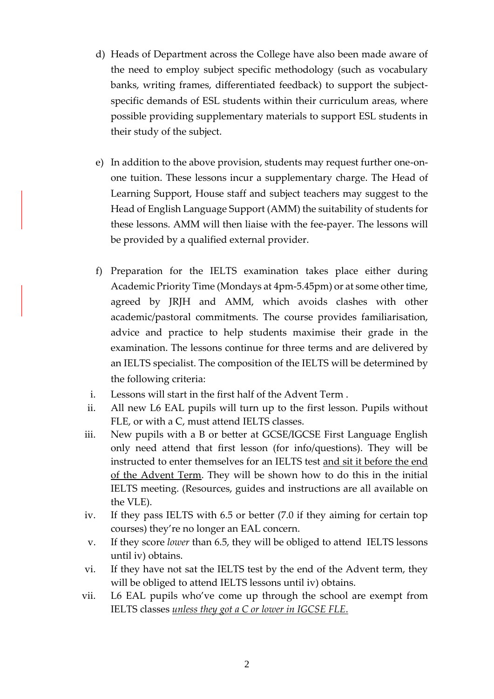- d) Heads of Department across the College have also been made aware of the need to employ subject specific methodology (such as vocabulary banks, writing frames, differentiated feedback) to support the subjectspecific demands of ESL students within their curriculum areas, where possible providing supplementary materials to support ESL students in their study of the subject.
- e) In addition to the above provision, students may request further one-onone tuition. These lessons incur a supplementary charge. The Head of Learning Support, House staff and subject teachers may suggest to the Head of English Language Support (AMM) the suitability of students for these lessons. AMM will then liaise with the fee-payer. The lessons will be provided by a qualified external provider.
- f) Preparation for the IELTS examination takes place either during Academic Priority Time (Mondays at 4pm-5.45pm) or at some other time, agreed by JRJH and AMM, which avoids clashes with other academic/pastoral commitments. The course provides familiarisation, advice and practice to help students maximise their grade in the examination. The lessons continue for three terms and are delivered by an IELTS specialist. The composition of the IELTS will be determined by the following criteria:
- i. Lessons will start in the first half of the Advent Term .
- ii. All new L6 EAL pupils will turn up to the first lesson. Pupils without FLE, or with a C, must attend IELTS classes.
- iii. New pupils with a B or better at GCSE/IGCSE First Language English only need attend that first lesson (for info/questions). They will be instructed to enter themselves for an IELTS test and sit it before the end of the Advent Term. They will be shown how to do this in the initial IELTS meeting. (Resources, guides and instructions are all available on the VLE).
- iv. If they pass IELTS with 6.5 or better (7.0 if they aiming for certain top courses) they're no longer an EAL concern.
- v. If they score *lower* than 6.5, they will be obliged to attend IELTS lessons until iv) obtains.
- vi. If they have not sat the IELTS test by the end of the Advent term, they will be obliged to attend IELTS lessons until iv) obtains.
- vii. L6 EAL pupils who've come up through the school are exempt from IELTS classes *unless they got a C or lower in IGCSE FLE*.